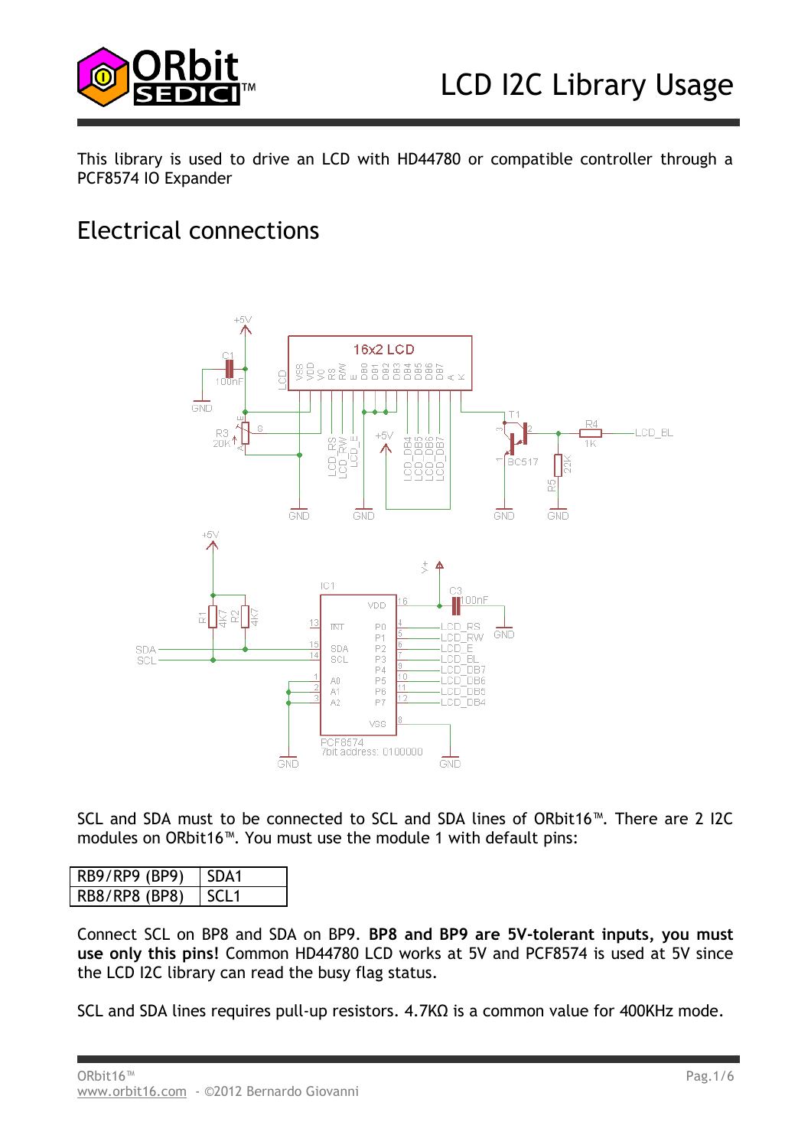

This library is used to drive an LCD with HD44780 or compatible controller through a PCF8574 IO Expander

## Electrical connections



SCL and SDA must to be connected to SCL and SDA lines of ORbit16™. There are 2 I2C modules on ORbit16™. You must use the module 1 with default pins:

| RB9/RP9 (BP9) | SDA1 |
|---------------|------|
| RB8/RP8 (BP8) |      |

Connect SCL on BP8 and SDA on BP9. **BP8 and BP9 are 5V-tolerant inputs, you must use only this pins!** Common HD44780 LCD works at 5V and PCF8574 is used at 5V since the LCD I2C library can read the busy flag status.

SCL and SDA lines requires pull-up resistors. 4.7KΩ is a common value for 400KHz mode.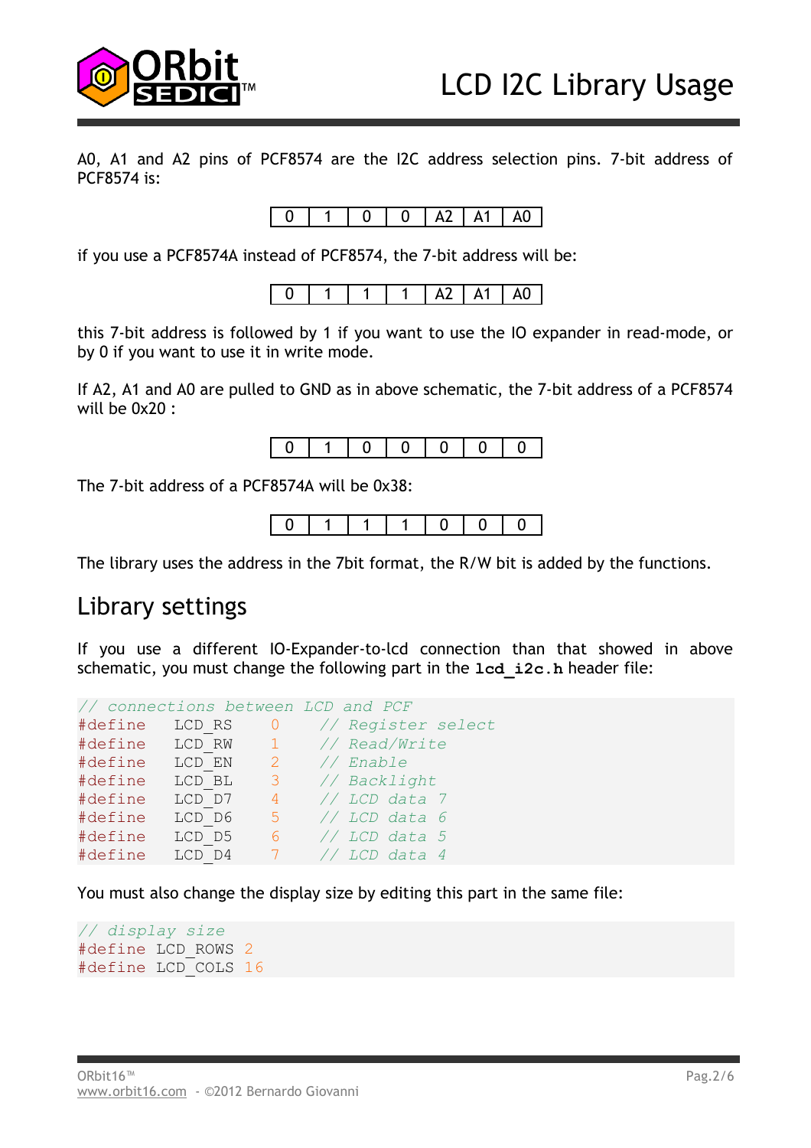

A0, A1 and A2 pins of PCF8574 are the I2C address selection pins. 7-bit address of PCF8574 is:



if you use a PCF8574A instead of PCF8574, the 7-bit address will be:

| ΑU<br>ιı<br> |
|--------------|
|--------------|

this 7-bit address is followed by 1 if you want to use the IO expander in read-mode, or by 0 if you want to use it in write mode.

If A2, A1 and A0 are pulled to GND as in above schematic, the 7-bit address of a PCF8574 will be 0x20 :



The 7-bit address of a PCF8574A will be 0x38:



The library uses the address in the 7bit format, the R/W bit is added by the functions.

### Library settings

If you use a different IO-Expander-to-lcd connection than that showed in above schematic, you must change the following part in the **lcd** i2c.h header file:

|         |                |                         | // connections between LCD and PCF |
|---------|----------------|-------------------------|------------------------------------|
| #define | LCD RS 0       |                         | // Register select                 |
|         | #define LCD RW | $\sim$ 1                | // Read/Write                      |
| #define | LCD EN 2       |                         | // Enable                          |
| #define | LCD BL         | $\overline{\mathbf{3}}$ | // Backlight                       |
| #define | LCD D7         | $\overline{4}$          | // LCD data 7                      |
| #define | LCD D6         | $-5$                    | $//$ LCD data 6                    |
| #define | LCD D5         |                         | $6$ // LCD data 5                  |
| #define | LCD D4         | $-7$                    | // LCD data 4                      |

You must also change the display size by editing this part in the same file:

*// display size* #define LCD\_ROWS 2 #define LCD\_COLS 16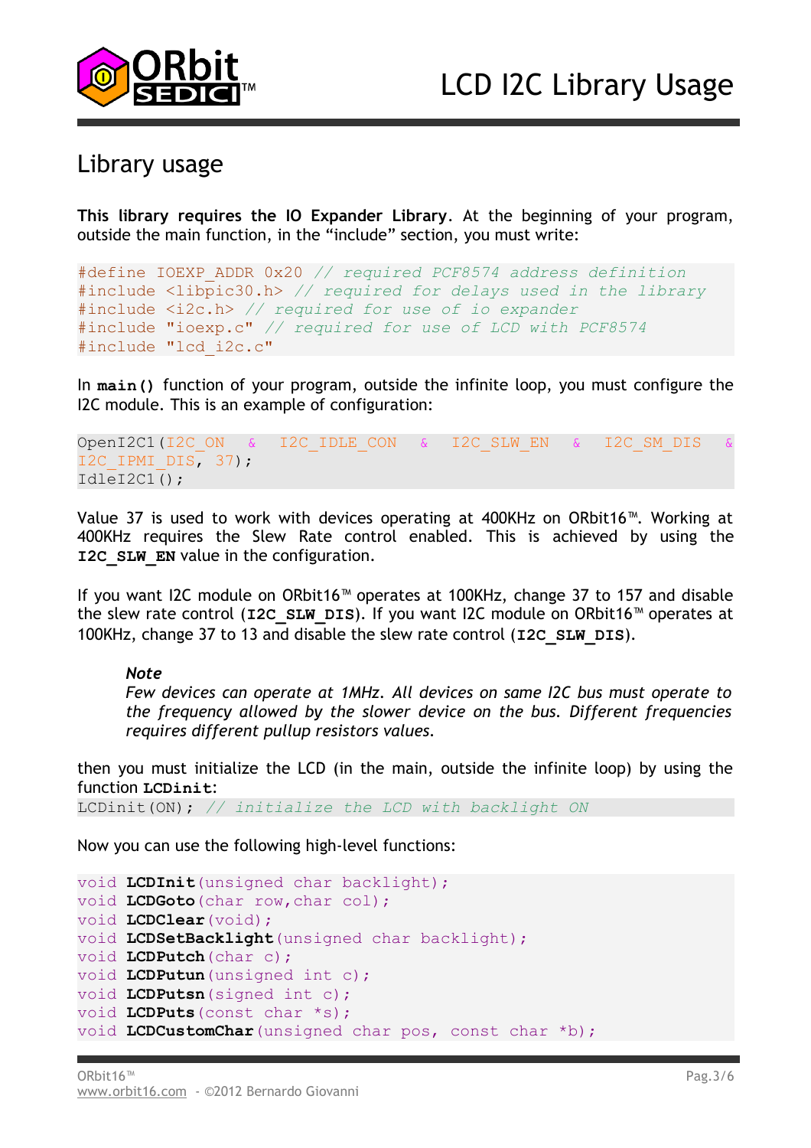

## Library usage

**This library requires the IO Expander Library**. At the beginning of your program, outside the main function, in the "include" section, you must write:

```
#define IOEXP_ADDR 0x20 // required PCF8574 address definition
#include <libpic30.h> // required for delays used in the library
#include <i2c.h> // required for use of io expander
#include "ioexp.c" // required for use of LCD with PCF8574
#include "lcd_i2c.c"
```
In **main()** function of your program, outside the infinite loop, you must configure the I2C module. This is an example of configuration:

```
OpenI2C1(I2C_ON & I2C_IDLE_CON & I2C_SLW_EN & I2C_SM_DIS
I2C IPMI DIS, 37);
IdleI2C1();
```
Value 37 is used to work with devices operating at 400KHz on ORbit16™. Working at 400KHz requires the Slew Rate control enabled. This is achieved by using the **I2C\_SLW\_EN** value in the configuration.

If you want I2C module on ORbit16™ operates at 100KHz, change 37 to 157 and disable the slew rate control (**I2C\_SLW\_DIS**). If you want I2C module on ORbit16™ operates at 100KHz, change 37 to 13 and disable the slew rate control (**I2C\_SLW\_DIS**).

#### *Note*

*Few devices can operate at 1MHz. All devices on same I2C bus must operate to the frequency allowed by the slower device on the bus. Different frequencies requires different pullup resistors values.*

then you must initialize the LCD (in the main, outside the infinite loop) by using the function **LCDinit**:

LCDinit(ON); *// initialize the LCD with backlight ON*

Now you can use the following high-level functions:

```
void LCDInit(unsigned char backlight);
void LCDGoto(char row,char col);
void LCDClear(void);
void LCDSetBacklight(unsigned char backlight);
void LCDPutch(char c);
void LCDPutun(unsigned int c);
void LCDPutsn(signed int c);
void LCDPuts(const char *s);
void LCDCustomChar(unsigned char pos, const char *b);
```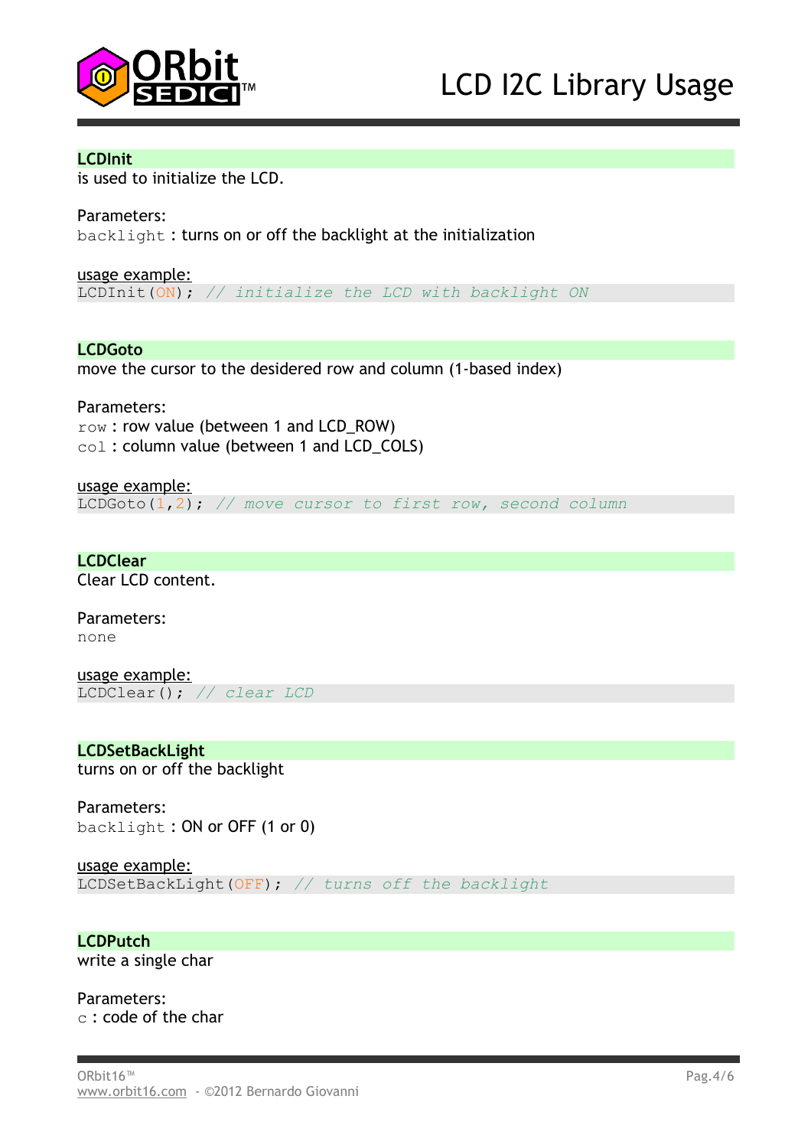

#### **LCDInit**

is used to initialize the LCD.

Parameters:

backlight : turns on or off the backlight at the initialization

usage example: LCDInit(ON); *// initialize the LCD with backlight ON*

**LCDGoto**

move the cursor to the desidered row and column (1-based index)

Parameters: row : row value (between 1 and LCD\_ROW) col: column value (between 1 and LCD COLS)

usage example: LCDGoto(1,2); *// move cursor to first row, second column*

**LCDClear** Clear LCD content.

Parameters: none

usage example: LCDClear(); *// clear LCD*

**LCDSetBackLight** turns on or off the backlight

Parameters: backlight : ON or OFF (1 or 0)

usage example: LCDSetBackLight(OFF); *// turns off the backlight*

**LCDPutch** write a single char

Parameters: c : code of the char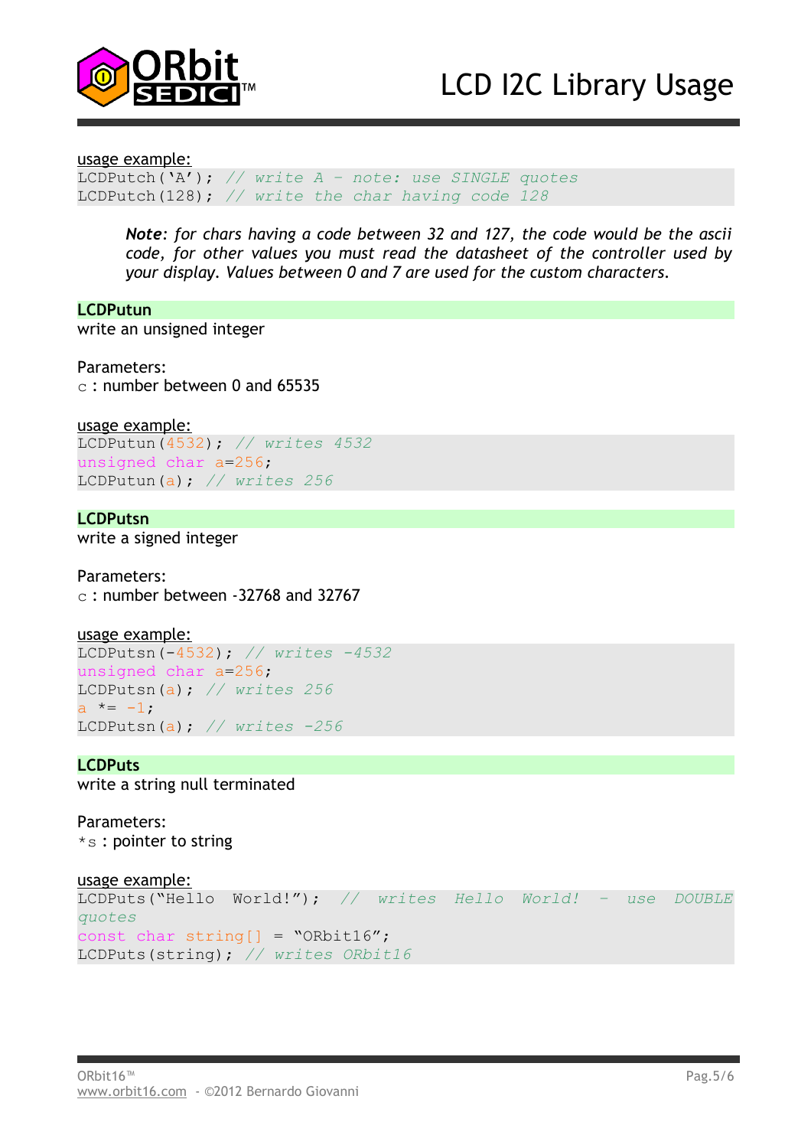

# LCD I2C Library Usage

usage example:

LCDPutch('A'); *// write A – note: use SINGLE quotes* LCDPutch(128); *// write the char having code 128*

*Note: for chars having a code between 32 and 127, the code would be the ascii code, for other values you must read the datasheet of the controller used by your display. Values between 0 and 7 are used for the custom characters.*

**LCDPutun** write an unsigned integer

Parameters: c : number between 0 and 65535

usage example:

LCDPutun(4532); *// writes 4532* unsigned char a=256; LCDPutun(a); *// writes 256*

#### **LCDPutsn**

write a signed integer

Parameters:

 $c$ : number between -32768 and 32767

```
usage example:
LCDPutsn(-4532); // writes -4532
unsigned char a=256;
LCDPutsn(a); // writes 256
```
 $a * = -1;$ LCDPutsn(a); *// writes -256*

#### **LCDPuts**

write a string null terminated

Parameters: \*s : pointer to string

#### usage example:

```
LCDPuts("Hello World!"); // writes Hello World! – use DOUBLE
quotes
const char string[] = "ORbit16";
LCDPuts(string); // writes ORbit16
```